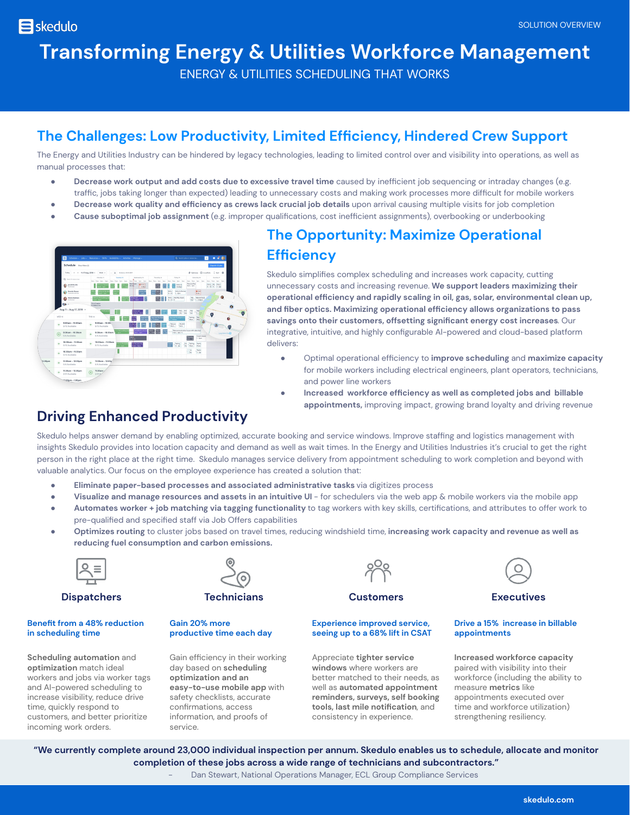## **Transforming Energy & Utilities Workforce Management**

ENERGY & UTILITIES SCHEDULING THAT WORKS

## **The Challenges: Low Productivity, Limited Efficiency, Hindered Crew Support**

The Energy and Utilities Industry can be hindered by legacy technologies, leading to limited control over and visibility into operations, as well as manual processes that:

- **Decrease work output and add costs due to excessive travel time** caused by inefficient job sequencing or intraday changes (e.g. traffic, jobs taking longer than expected) leading to unnecessary costs and making work processes more difficult for mobile workers
- **Decrease work quality and efficiency as crews lack crucial job details** upon arrival causing multiple visits for job completion
- **Cause suboptimal job assignment** (e.g. improper qualifications, cost inefficient assignments), overbooking or underbooking



## **The Opportunity: Maximize Operational Efficiency**

operational efficiency and rapidly scaling in oil, gas, solar, environmental clean up, Skedulo simplifies complex scheduling and increases work capacity, cutting unnecessary costs and increasing revenue. **We support leaders maximizing their and fiber optics. Maximizing operational efficiency allows organizations to pass savings onto their customers, offsetting significant energy cost increases**. Our integrative, intuitive, and highly configurable AI-powered and cloud-based platform delivers:

- Optimal operational efficiency to **improve scheduling** and **maximize capacity** for mobile workers including electrical engineers, plant operators, technicians, and power line workers
- **Increased workforce efficiency as well as completed jobs and billable appointments,** improving impact, growing brand loyalty and driving revenue

## **Driving Enhanced Productivity**

Skedulo helps answer demand by enabling optimized, accurate booking and service windows. Improve staffing and logistics management with insights Skedulo provides into location capacity and demand as well as wait times. In the Energy and Utilities Industries it's crucial to get the right person in the right place at the right time. Skedulo manages service delivery from appointment scheduling to work completion and beyond with valuable analytics. Our focus on the employee experience has created a solution that:

- **● Eliminate paper-based processes and associated administrative tasks** via digitizes process
- **● Visualize and manage resources and assets in an intuitive UI** for schedulers via the web app & mobile workers via the mobile app
- **Automates worker + job matching via tagging functionality** to tag workers with key skills, certifications, and attributes to offer work to pre-qualified and specified staff via Job Offers capabilities
- **Optimizes routing** to cluster jobs based on travel times, reducing windshield time, **increasing work capacity and revenue as well as reducing fuel consumption and carbon emissions.**



**Dispatchers Technicians Customers Executives**

#### **Benefit from a 48% reduction in scheduling time**

**Scheduling automation** and **optimization** match ideal workers and jobs via worker tags and AI-powered scheduling to increase visibility, reduce drive time, quickly respond to customers, and better prioritize incoming work orders.



#### **Gain 20% more productive time each day**

Gain efficiency in their working day based on **scheduling optimization and an easy-to-use mobile app** with safety checklists, accurate confirmations, access information, and proofs of service.



#### **Experience improved service, seeing up to a 68% lift in CSAT**

Appreciate **tighter service windows** where workers are better matched to their needs, as well as **automated appointment reminders, surveys, self booking tools, last mile notification**, and consistency in experience.



#### **Drive a 15% increase in billable appointments**

**Increased workforce capacity** paired with visibility into their workforce (including the ability to measure **metrics** like appointments executed over time and workforce utilization) strengthening resiliency.

**"We currently complete around 23,000 individual inspection per annum. Skedulo enables us to schedule, allocate and monitor completion of these jobs across a wide range of technicians and subcontractors."**

Dan Stewart, National Operations Manager, ECL Group Compliance Services